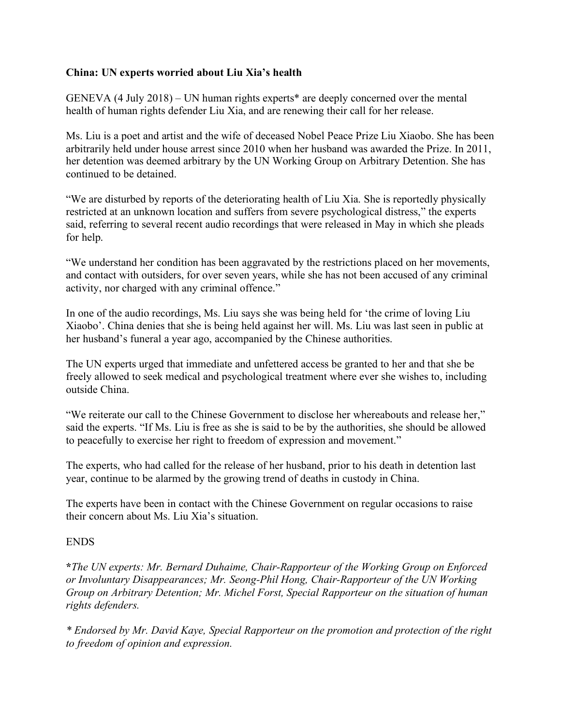## **China: UN experts worried about Liu Xia's health**

GENEVA (4 July 2018) – UN human rights experts\* are deeply concerned over the mental health of human rights defender Liu Xia, and are renewing their call for her release.

Ms. Liu is a poet and artist and the wife of deceased Nobel Peace Prize Liu Xiaobo. She has been arbitrarily held under house arrest since 2010 when her husband was awarded the Prize. In 2011, her detention was deemed arbitrary by the UN Working Group on Arbitrary Detention. She has continued to be detained.

"We are disturbed by reports of the deteriorating health of Liu Xia. She is reportedly physically restricted at an unknown location and suffers from severe psychological distress," the experts said, referring to several recent audio recordings that were released in May in which she pleads for help.

"We understand her condition has been aggravated by the restrictions placed on her movements, and contact with outsiders, for over seven years, while she has not been accused of any criminal activity, nor charged with any criminal offence."

In one of the audio recordings, Ms. Liu says she was being held for 'the crime of loving Liu Xiaobo'. China denies that she is being held against her will. Ms. Liu was last seen in public at her husband's funeral a year ago, accompanied by the Chinese authorities.

The UN experts urged that immediate and unfettered access be granted to her and that she be freely allowed to seek medical and psychological treatment where ever she wishes to, including outside China.

"We reiterate our call to the Chinese Government to disclose her whereabouts and release her," said the experts. "If Ms. Liu is free as she is said to be by the authorities, she should be allowed to peacefully to exercise her right to freedom of expression and movement."

The experts, who had called for the release of her husband, prior to his death in detention last year, continue to be alarmed by the growing trend of deaths in custody in China.

The experts have been in contact with the Chinese Government on regular occasions to raise their concern about Ms. Liu Xia's situation.

## ENDS

**\****The UN experts: Mr. Bernard Duhaime, Chair-Rapporteur of the Working Group on Enforced or Involuntary Disappearances; Mr. Seong-Phil Hong, Chair-Rapporteur of the UN Working Group on Arbitrary Detention; Mr. Michel Forst, Special Rapporteur on the situation of human rights defenders.*

*\* Endorsed by Mr. David Kaye, Special Rapporteur on the promotion and protection of the right to freedom of opinion and expression.*